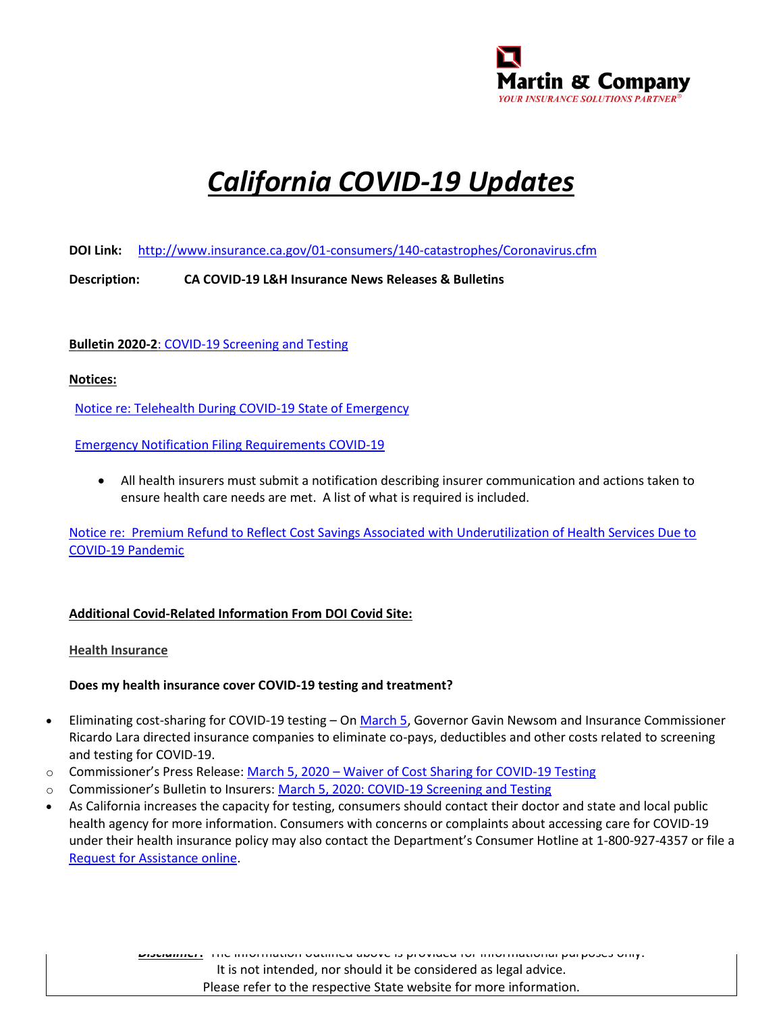

# *California COVID-19 Updates*

**DOI Link:** <http://www.insurance.ca.gov/01-consumers/140-catastrophes/Coronavirus.cfm>

**Description: CA COVID-19 L&H Insurance News Releases & Bulletins**

**Bulletin 2020-2**[: COVID-19 Screening and Testing](http://www.insurance.ca.gov/0250-insurers/0300-insurers/0200-bulletins/bulletin-notices-commiss-opinion/upload/COVID-19-Screening-and-Testing.pdf)

### **Notices:**

[Notice re: Telehealth During COVID-19 State of Emergency](http://www.insurance.ca.gov/0250-insurers/0300-insurers/0200-bulletins/bulletin-notices-commiss-opinion/upload/nr034TelehealthCOVID-19-03302020.pdf)

[Emergency Notification Filing Requirements COVID-19](http://www.insurance.ca.gov/0250-insurers/0300-insurers/0200-bulletins/bulletin-notices-commiss-opinion/upload/CDI-Emergency-Notification-Filing-Requirements-COVID-19-3-18-2020.pdf)

• All health insurers must submit a notification describing insurer communication and actions taken to ensure health care needs are met. A list of what is required is included.

[Notice re: Premium Refund to Reflect Cost Savings Associated with Underutilization of Health Services Due to](http://www.insurance.ca.gov/0250-insurers/0300-insurers/0200-bulletins/bulletin-notices-commiss-opinion/upload/Notice-re-Premium-Credit-in-Health-Insurance.pdf)  [COVID-19 Pandemic](http://www.insurance.ca.gov/0250-insurers/0300-insurers/0200-bulletins/bulletin-notices-commiss-opinion/upload/Notice-re-Premium-Credit-in-Health-Insurance.pdf)

#### **Additional Covid-Related Information From DOI Covid Site:**

**Health Insurance**

#### **Does my health insurance cover COVID-19 testing and treatment?**

- Eliminating cost-sharing for COVID-19 testing O[n March 5,](http://www.insurance.ca.gov/0400-news/0100-press-releases/2020/release025-2020-2.cfm) Governor Gavin Newsom and Insurance Commissioner Ricardo Lara directed insurance companies to eliminate co-pays, deductibles and other costs related to screening and testing for COVID-19.
- Commissioner's Press Release: March 5, 2020 [Waiver of Cost Sharing for COVID-19 Testing](http://www.insurance.ca.gov/0400-news/0100-press-releases/2020/release025-2020-2.cfm)
- o Commissioner's Bulletin to Insurers: [March 5, 2020: COVID-19 Screening and Testing](http://www.insurance.ca.gov/0250-insurers/0300-insurers/0200-bulletins/bulletin-notices-commiss-opinion/upload/COVID-19-Screening-and-Testing.pdf)
- As California increases the capacity for testing, consumers should contact their doctor and state and local public health agency for more information. Consumers with concerns or complaints about accessing care for COVID-19 under their health insurance policy may also contact the Department's Consumer Hotline at 1-800-927-4357 or file a [Request for Assistance online.](https://cdiapps.insurance.ca.gov/CP/login/)

*Disclaimer***:** The information outlined above is provided for informational purposes only. It is not intended, nor should it be considered as legal advice. Please refer to the respective State website for more information.